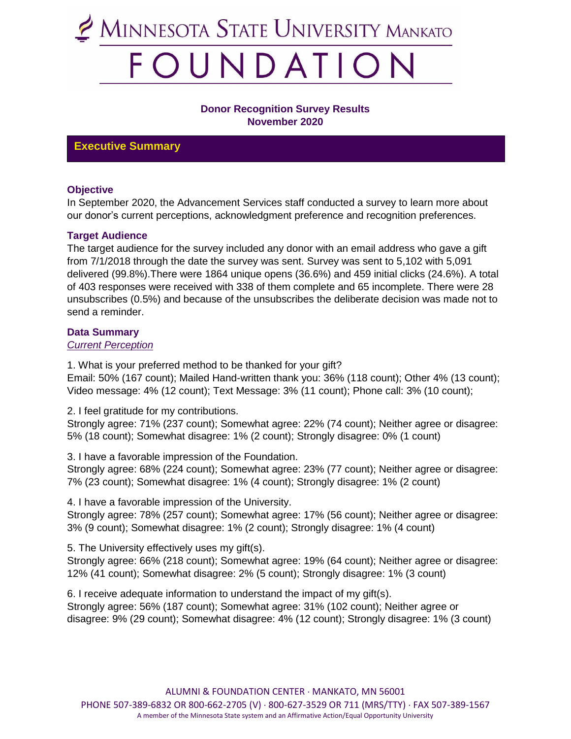

#### **Donor Recognition Survey Results November 2020**

### **Executive Summary**

#### **Objective**

In September 2020, the Advancement Services staff conducted a survey to learn more about our donor's current perceptions, acknowledgment preference and recognition preferences.

#### **Target Audience**

The target audience for the survey included any donor with an email address who gave a gift from 7/1/2018 through the date the survey was sent. Survey was sent to 5,102 with 5,091 delivered (99.8%).There were 1864 unique opens (36.6%) and 459 initial clicks (24.6%). A total of 403 responses were received with 338 of them complete and 65 incomplete. There were 28 unsubscribes (0.5%) and because of the unsubscribes the deliberate decision was made not to send a reminder.

#### **Data Summary**

#### *Current Perception*

1. What is your preferred method to be thanked for your gift? Email: 50% (167 count); Mailed Hand-written thank you: 36% (118 count); Other 4% (13 count); Video message: 4% (12 count); Text Message: 3% (11 count); Phone call: 3% (10 count);

2. I feel gratitude for my contributions.

Strongly agree: 71% (237 count); Somewhat agree: 22% (74 count); Neither agree or disagree: 5% (18 count); Somewhat disagree: 1% (2 count); Strongly disagree: 0% (1 count)

3. I have a favorable impression of the Foundation.

Strongly agree: 68% (224 count); Somewhat agree: 23% (77 count); Neither agree or disagree: 7% (23 count); Somewhat disagree: 1% (4 count); Strongly disagree: 1% (2 count)

4. I have a favorable impression of the University.

Strongly agree: 78% (257 count); Somewhat agree: 17% (56 count); Neither agree or disagree: 3% (9 count); Somewhat disagree: 1% (2 count); Strongly disagree: 1% (4 count)

5. The University effectively uses my gift(s).

Strongly agree: 66% (218 count); Somewhat agree: 19% (64 count); Neither agree or disagree: 12% (41 count); Somewhat disagree: 2% (5 count); Strongly disagree: 1% (3 count)

6. I receive adequate information to understand the impact of my gift(s). Strongly agree: 56% (187 count); Somewhat agree: 31% (102 count); Neither agree or disagree: 9% (29 count); Somewhat disagree: 4% (12 count); Strongly disagree: 1% (3 count)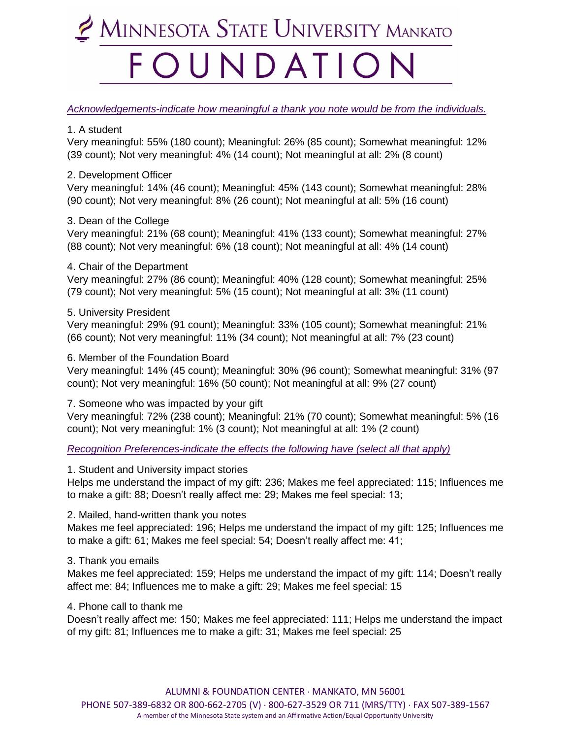## MINNESOTA STATE UNIVERSITY MANKATO OUNDATIO

#### *Acknowledgements-indicate how meaningful a thank you note would be from the individuals.*

#### 1. A student

Very meaningful: 55% (180 count); Meaningful: 26% (85 count); Somewhat meaningful: 12% (39 count); Not very meaningful: 4% (14 count); Not meaningful at all: 2% (8 count)

2. Development Officer

Very meaningful: 14% (46 count); Meaningful: 45% (143 count); Somewhat meaningful: 28% (90 count); Not very meaningful: 8% (26 count); Not meaningful at all: 5% (16 count)

#### 3. Dean of the College

Very meaningful: 21% (68 count); Meaningful: 41% (133 count); Somewhat meaningful: 27% (88 count); Not very meaningful: 6% (18 count); Not meaningful at all: 4% (14 count)

#### 4. Chair of the Department

Very meaningful: 27% (86 count); Meaningful: 40% (128 count); Somewhat meaningful: 25% (79 count); Not very meaningful: 5% (15 count); Not meaningful at all: 3% (11 count)

#### 5. University President

Very meaningful: 29% (91 count); Meaningful: 33% (105 count); Somewhat meaningful: 21% (66 count); Not very meaningful: 11% (34 count); Not meaningful at all: 7% (23 count)

#### 6. Member of the Foundation Board

Very meaningful: 14% (45 count); Meaningful: 30% (96 count); Somewhat meaningful: 31% (97 count); Not very meaningful: 16% (50 count); Not meaningful at all: 9% (27 count)

7. Someone who was impacted by your gift

Very meaningful: 72% (238 count); Meaningful: 21% (70 count); Somewhat meaningful: 5% (16 count); Not very meaningful: 1% (3 count); Not meaningful at all: 1% (2 count)

*Recognition Preferences-indicate the effects the following have (select all that apply)*

1. Student and University impact stories

Helps me understand the impact of my gift: 236; Makes me feel appreciated: 115; Influences me to make a gift: 88; Doesn't really affect me: 29; Makes me feel special: 13;

#### 2. Mailed, hand-written thank you notes

Makes me feel appreciated: 196; Helps me understand the impact of my gift: 125; Influences me to make a gift: 61; Makes me feel special: 54; Doesn't really affect me: 41;

#### 3. Thank you emails

Makes me feel appreciated: 159; Helps me understand the impact of my gift: 114; Doesn't really affect me: 84; Influences me to make a gift: 29; Makes me feel special: 15

#### 4. Phone call to thank me

Doesn't really affect me: 150; Makes me feel appreciated: 111; Helps me understand the impact of my gift: 81; Influences me to make a gift: 31; Makes me feel special: 25

ALUMNI & FOUNDATION CENTER · MANKATO, MN 56001